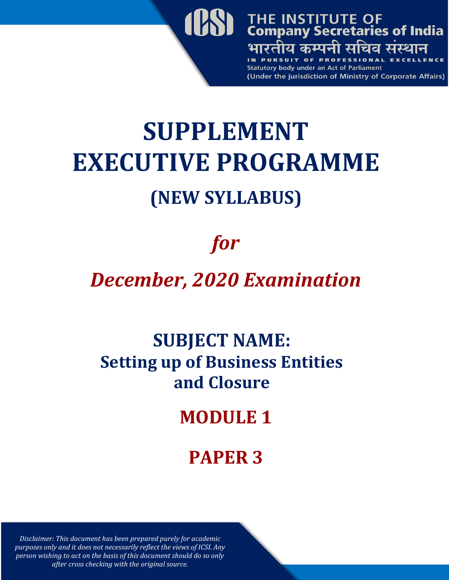

# **SUPPLEMENT EXECUTIVE PROGRAMME (NEW SYLLABUS)**

## *for*

## *December, 2020 Examination*

## **SUBJECT NAME: Setting up of Business Entities and Closure**

## **MODULE 1**

## **PAPER 3**

*Disclaimer: This document has been prepared purely for academic purposes only and it does not necessarily reflect the views of ICSI. Any person wishing to act on the basis of this document should do so only after cross checking with the original source.*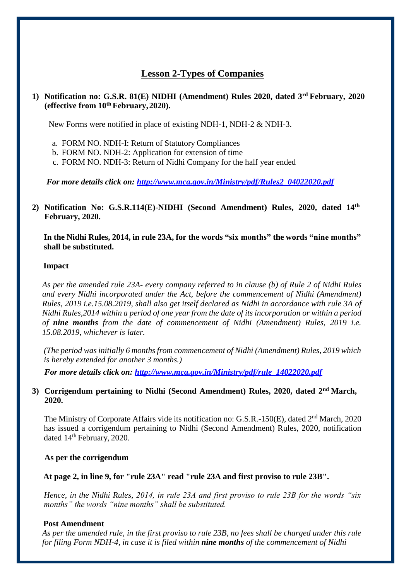### **Lesson 2-Types of Companies**

#### **1) Notification no: G.S.R. 81(E) NIDHI (Amendment) Rules 2020, dated 3rd February, 2020 (effective from 10th February,2020).**

New Forms were notified in place of existing NDH-1, NDH-2 & NDH-3.

- a. FORM NO. NDH-I: Return of Statutory Compliances
- b. FORM NO. NDH-2: Application for extension of time
- c. FORM NO. NDH-3: Return of Nidhi Company for the half year ended

*For more details click on: [http://www.mca.gov.in/Ministry/pdf/Rules2\\_04022020.pdf](http://www.mca.gov.in/Ministry/pdf/Rules2_04022020.pdf)*

**2) Notification No: G.S.R.114(E)-NIDHI (Second Amendment) Rules, 2020, dated 14th February, 2020.**

**In the Nidhi Rules, 2014, in rule 23A, for the words "six months" the words "nine months" shall be substituted.**

#### **Impact**

*As per the amended rule 23A- every company referred to in clause (b) of [Rule 2 o](http://ebook.mca.gov.in/Actpagedisplay.aspx?PAGENAME=18220)f Nidhi Rules and every Nidhi incorporated under the Act, before the commencement of Nidhi (Amendment) Rules, 2019 i.e.15.08.2019, shall also get itself declared as Nidhi in accordance with [rule 3A o](http://ebook.mca.gov.in/Actpagedisplay.aspx?PAGENAME=28472)f*  Nidhi Rules, 2014 within a period of one year from the date of its incorporation or within a period *of nine months from the date of commencement of Nidhi (Amendment) Rules, 2019 i.e. 15.08.2019, whichever is later.*

*(The period wasinitially 6 monthsfrom commencement of Nidhi (Amendment) Rules, 2019 which is hereby extended for another 3 months.)*

*For more details click on: [http://www.mca.gov.in/Ministry/pdf/rule\\_14022020.pdf](http://www.mca.gov.in/Ministry/pdf/rule_14022020.pdf)*

#### **3) Corrigendum pertaining to Nidhi (Second Amendment) Rules, 2020, dated 2nd March, 2020.**

The Ministry of Corporate Affairs vide its notification no: G.S.R.-150(E), dated 2<sup>nd</sup> March, 2020 has issued a corrigendum pertaining to Nidhi (Second Amendment) Rules, 2020, notification dated  $14<sup>th</sup>$  February, 2020.

#### **As per the corrigendum**

#### **At page 2, in line 9, for "rule 23A" read "rule 23A and first proviso to rule 23B".**

*Hence, in the Nidhi Rules, 2014, in rule 23A and first proviso to rule 23B for the words "six months" the words "nine months" shall be substituted.*

#### **Post Amendment**

As per the amended rule, in the first proviso to rule 23B, no fees shall be charged under this rule *for filing Form NDH-4, in case it is filed within nine months of the commencement of Nidhi*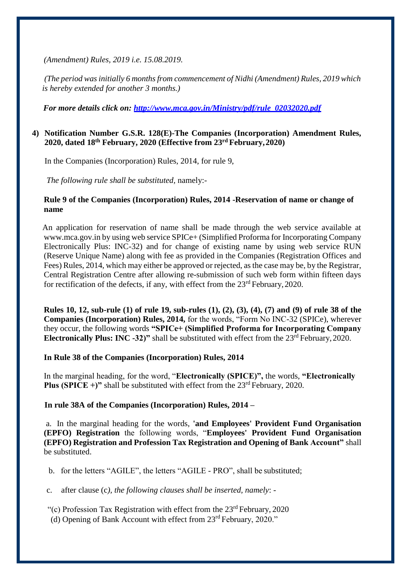*(Amendment) Rules, 2019 i.e. 15.08.2019.*

*(The period was initially 6 months from commencement of Nidhi (Amendment) Rules, 2019 which is hereby extended for another 3 months.)*

 *For more details click on: [http://www.mca.gov.in/Ministry/pdf/rule\\_02032020.pdf](http://www.mca.gov.in/Ministry/pdf/rule_02032020.pdf)*

#### **4) Notification Number G.S.R. 128(E)-The Companies (Incorporation) Amendment Rules, 2020, dated 18th February, 2020 (Effective from 23rd February,2020)**

In the Companies (Incorporation) Rules, 2014, for rule 9,

*The following rule shall be substituted,* namely:-

#### **Rule 9 of the Companies (Incorporation) Rules, 2014 -Reservation of name or change of name**

An application for reservation of name shall be made through the web service available at [www.mca.gov.in](http://www.mca.gov.in/) by using web service SPICe+ (Simplified Proforma for Incorporating Company Electronically Plus: INC-32) and for change of existing name by using web service RUN (Reserve Unique Name) along with fee as provided in the Companies (Registration Offices and Fees) Rules, 2014, which may either be approved or rejected, as the case may be, by the Registrar, Central Registration Centre after allowing re-submission of such web form within fifteen days for rectification of the defects, if any, with effect from the  $23<sup>rd</sup>$  February, 2020.

Rules 10, 12, sub-rule (1) of rule 19, sub-rules (1), (2), (3), (4), (7) and (9) of rule 38 of the **Companies (Incorporation) Rules, 2014,** for the words, "Form No INC-32 (SPICe), wherever they occur, the following words **"SPICe+ (Simplified Proforma for Incorporating Company Electronically Plus: INC -32)"** shall be substituted with effect from the 23<sup>rd</sup> February, 2020.

#### **In Rule 38 of the Companies (Incorporation) Rules, 2014**

In the marginal heading, for the word, "**Electronically (SPICE)",** the words, **"Electronically Plus (SPICE +)"** shall be substituted with effect from the  $23<sup>rd</sup>$  February, 2020.

#### **In rule 38A of the Companies (Incorporation) Rules, 2014 –**

a. In the marginal heading for the words, **'and Employees' Provident Fund Organisation (EPFO) Registration** the following words, "**Employees' Provident Fund Organisation (EPFO) Registration and Profession Tax Registration and Opening of Bank Account"** shall be substituted.

b. for the letters "AGILE", the letters "AGILE - PRO", shall be substituted;

c. after clause (c*), the following clauses shall be inserted, namely*: -

"(c) Profession Tax Registration with effect from the  $23<sup>rd</sup>$  February, 2020

(d) Opening of Bank Account with effect from 23rd February, 2020."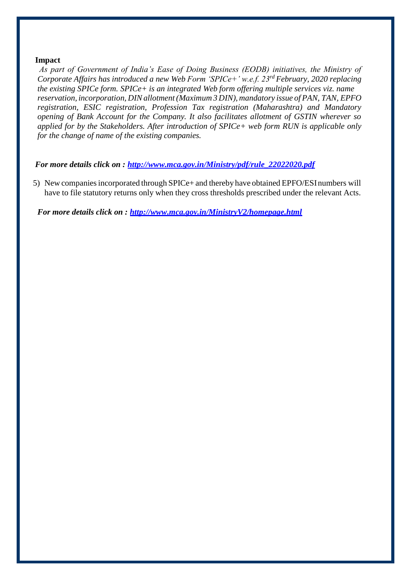#### **Impact**

 *As part of Government of India's Ease of Doing Business (EODB) initiatives, the Ministry of Corporate Affairs has introduced a new Web Form 'SPICe+' w.e.f. 23rd February, 2020 replacing the existing SPICe form. SPICe+ is an integrated Web form offering multiple services viz. name reservation, incorporation, DINallotment (Maximum 3 DIN), mandatory issue of PAN, TAN, EPFO registration, ESIC registration, Profession Tax registration (Maharashtra) and Mandatory opening of Bank Account for the Company. It also facilitates allotment of GSTIN wherever so applied for by the Stakeholders. After introduction of SPICe+ web form RUN is applicable only for the change of name of the existing companies.*

#### *For more details click on : [http://www.mca.gov.in/Ministry/pdf/rule\\_22022020.pdf](http://www.mca.gov.in/Ministry/pdf/rule_22022020.pdf)*

5) New companiesincorporated through SPICe+ and thereby have obtained EPFO/ESInumbers will have to file statutory returns only when they cross thresholds prescribed under the relevant Acts.

*For more details click on :<http://www.mca.gov.in/MinistryV2/homepage.html>*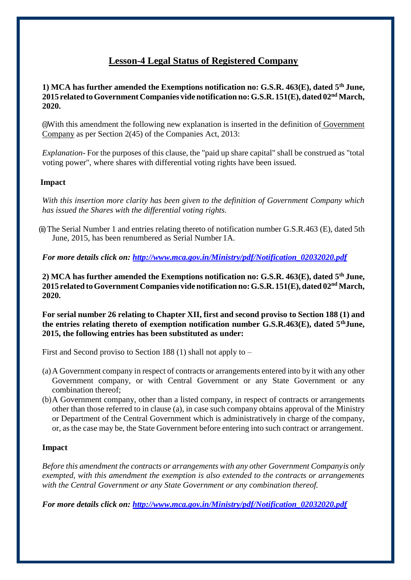### **Lesson-4 Legal Status of Registered Company**

#### **1) MCA has further amended the Exemptions notification no: G.S.R. 463(E), dated 5 th June, 2015 related toGovernmentCompanies videnotification no:G.S.R. 151(E), dated 02nd March, 2020.**

(i)With this amendment the following new explanation is inserted in the definition of Government Company as per Section 2(45) of the Companies Act, 2013:

*Explanation-* For the purposes of this clause, the "paid up share capital" shall be construed as "total voting power", where shares with differential voting rights have been issued.

#### **Impact**

*With this insertion more clarity has been given to the definition of Government Company which has issued the Shares with the differential voting rights.*

(ii)The Serial Number 1 and entries relating thereto of notification number G.S.R.463 (E), dated 5th June, 2015, has been renumbered as Serial Number 1A.

*For more details click on: [http://www.mca.gov.in/Ministry/pdf/Notification\\_02032020.pdf](http://www.mca.gov.in/Ministry/pdf/Notification_02032020.pdf)*

**2) MCA has further amended the Exemptions notification no: G.S.R. 463(E), dated 5 th June, 2015 related toGovernmentCompanies videnotification no:G.S.R. 151(E), dated 02nd March, 2020.**

**For serial number 26 relating to Chapter XII, first and second proviso to Section 188 (1) and the entries relating thereto of exemption notification number G.S.R.463(E), dated 5thJune, 2015, the following entries has been substituted as under:**

First and Second proviso to Section 188 (1) shall not apply to –

- (a)A Government company in respect of contracts or arrangements entered into by it with any other Government company, or with Central Government or any State Government or any combination thereof;
- (b)A Government company, other than a listed company, in respect of contracts or arrangements other than those referred to in clause (a), in case such company obtains approval of the Ministry or Department of the Central Government which is administratively in charge of the company, or, as the case may be, the State Government before entering into such contract or arrangement.

#### **Impact**

*Before this amendment the contracts or arrangements with any other Government Companyis only exempted, with this amendment the exemption is also extended to the contracts or arrangements with the Central Government or any State Government or any combination thereof.*

*For more details click on: http://www.mca.gov.in/Ministry/pdf/Notification\_02032020.pdf*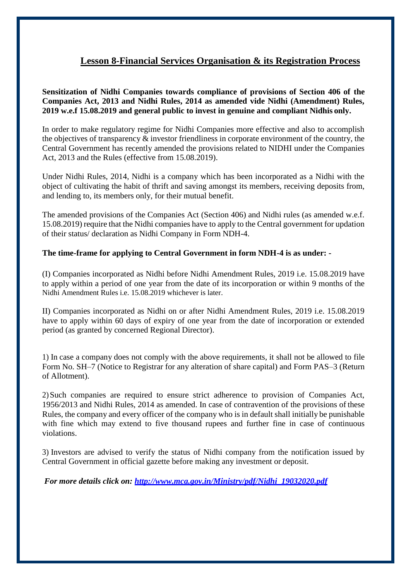## **Lesson 8-Financial Services Organisation & its Registration Process**

**Sensitization of Nidhi Companies towards compliance of provisions of Section 406 of the Companies Act, 2013 and Nidhi Rules, 2014 as amended vide Nidhi (Amendment) Rules, 2019 w.e.f 15.08.2019 and general public to invest in genuine and compliant Nidhis only.**

In order to make regulatory regime for Nidhi Companies more effective and also to accomplish the objectives of transparency  $\&$  investor friendliness in corporate environment of the country, the Central Government has recently amended the provisions related to NIDHI under the Companies Act, 2013 and the Rules (effective from 15.08.2019).

Under Nidhi Rules, 2014, Nidhi is a company which has been incorporated as a Nidhi with the object of cultivating the habit of thrift and saving amongst its members, receiving deposits from, and lending to, its members only, for their mutual benefit.

The amended provisions of the Companies Act (Section 406) and Nidhi rules (as amended w.e.f. 15.08.2019) require that the Nidhi companies have to apply to the Central government for updation of their status/ declaration as Nidhi Company in Form NDH-4.

#### **The time-frame for applying to Central Government in form NDH-4 is as under: -**

(I) Companies incorporated as Nidhi before Nidhi Amendment Rules, 2019 i.e. 15.08.2019 have to apply within a period of one year from the date of its incorporation or within 9 months of the Nidhi Amendment Rules i.e. 15.08.2019 whichever is later.

II) Companies incorporated as Nidhi on or after Nidhi Amendment Rules, 2019 i.e. 15.08.2019 have to apply within 60 days of expiry of one year from the date of incorporation or extended period (as granted by concerned Regional Director).

1) In case a company does not comply with the above requirements, it shall not be allowed to file Form No. SH–7 (Notice to Registrar for any alteration of share capital) and Form PAS–3 (Return of Allotment).

2)Such companies are required to ensure strict adherence to provision of Companies Act, 1956/2013 and Nidhi Rules, 2014 as amended. In case of contravention of the provisions of these Rules, the company and every officer of the company who is in default shall initially be punishable with fine which may extend to five thousand rupees and further fine in case of continuous violations.

3) Investors are advised to verify the status of Nidhi company from the notification issued by Central Government in official gazette before making any investment or deposit.

*For more details click on: [http://www.mca.gov.in/Ministry/pdf/Nidhi\\_19032020.pdf](http://www.mca.gov.in/Ministry/pdf/Nidhi_19032020.pdf)*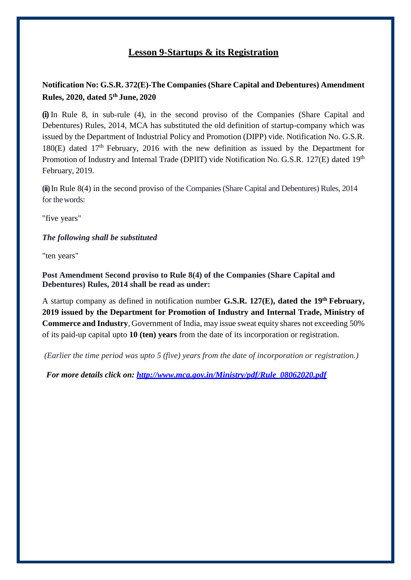## **Lesson 9-Startups & its Registration**

### **Notification No: G.S.R. 372(E)-The Companies (Share Capital and Debentures) Amendment Rules, 2020, dated 5th June, 2020**

**(i)** In Rule 8, in sub-rule (4), in the second proviso of the Companies (Share Capital and Debentures) Rules, 2014, MCA has substituted the old definition of startup-company which was issued by the Department of Industrial Policy and Promotion (DIPP) vide. Notification No. G.S.R.  $180(E)$  dated  $17<sup>th</sup>$  February, 2016 with the new definition as issued by the Department for Promotion of Industry and Internal Trade (DPIIT) vide Notification No. G.S.R. 127(E) dated 19<sup>th</sup> February, 2019.

**(ii)**In Rule 8(4) in the second proviso of the Companies (Share Capital and Debentures) Rules, 2014 for thewords:

"five years"

#### *The following shall be substituted*

"ten years"

**Post Amendment Second proviso to Rule 8(4) of the Companies (Share Capital and Debentures) Rules, 2014 shall be read as under:**

A startup company as defined in notification number **G.S.R. 127(E), dated the 19th February, 2019 issued by the Department for Promotion of Industry and Internal Trade, Ministry of Commerce and Industry**, Government of India, may issue sweat equity shares not exceeding 50% of its paid-up capital upto **10 (ten) years** from the date of its incorporation or registration.

*(Earlier the time period was upto 5 (five) years from the date of incorporation or registration.)*

 *For more details click on: [http://www.mca.gov.in/Ministry/pdf/Rule\\_08062020.pdf](http://www.mca.gov.in/Ministry/pdf/Rule_08062020.pdf)*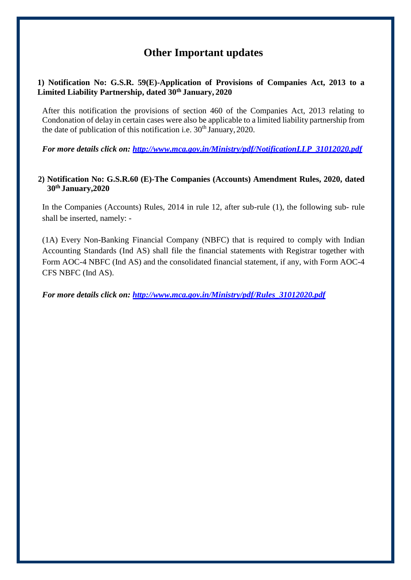## **Other Important updates**

#### **1) Notification No: G.S.R. 59(E)-Application of Provisions of Companies Act, 2013 to a Limited Liability Partnership, dated 30th January, 2020**

After this notification the provisions of section 460 of the Companies Act, 2013 relating to Condonation of delay in certain cases were also be applicable to a limited liability partnership from the date of publication of this notification i.e.  $30<sup>th</sup>$  January, 2020.

*For more details click on: [http://www.mca.gov.in/Ministry/pdf/NotificationLLP\\_31012020.pdf](http://www.mca.gov.in/Ministry/pdf/NotificationLLP_31012020.pdf)*

#### **2) Notification No: G.S.R.60 (E)-The Companies (Accounts) Amendment Rules, 2020, dated 30th January,2020**

In the Companies (Accounts) Rules, 2014 in rule 12, after sub-rule (1), the following sub- rule shall be inserted, namely: -

(1A) Every Non-Banking Financial Company (NBFC) that is required to comply with Indian Accounting Standards (Ind AS) shall file the financial statements with Registrar together with Form AOC-4 NBFC (Ind AS) and the consolidated financial statement, if any, with Form AOC-4 CFS NBFC (Ind AS).

*For more details click on: [http://www.mca.gov.in/Ministry/pdf/Rules\\_31012020.pdf](http://www.mca.gov.in/Ministry/pdf/Rules_31012020.pdf)*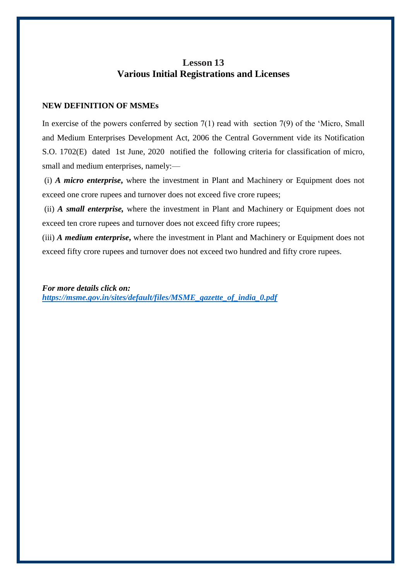### **Lesson 13 Various Initial Registrations and Licenses**

#### **NEW DEFINITION OF MSMEs**

In exercise of the powers conferred by section 7(1) read with section 7(9) of the 'Micro, Small and Medium Enterprises Development Act, 2006 the Central Government vide its Notification S.O. 1702(E) dated 1st June, 2020 notified the following criteria for classification of micro, small and medium enterprises, namely:—

(i) *A micro enterprise***,** where the investment in Plant and Machinery or Equipment does not exceed one crore rupees and turnover does not exceed five crore rupees;

(ii) *A small enterprise,* where the investment in Plant and Machinery or Equipment does not exceed ten crore rupees and turnover does not exceed fifty crore rupees;

(iii) *A medium enterprise***,** where the investment in Plant and Machinery or Equipment does not exceed fifty crore rupees and turnover does not exceed two hundred and fifty crore rupees.

*For more details click on: [https://msme.gov.in/sites/default/files/MSME\\_gazette\\_of\\_india\\_0.pdf](https://msme.gov.in/sites/default/files/MSME_gazette_of_india_0.pdf)*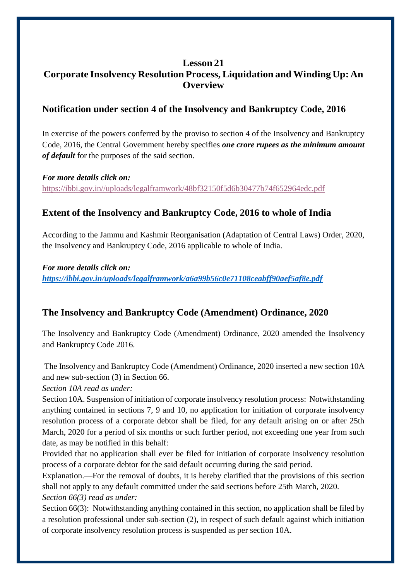### **Lesson 21 Corporate Insolvency Resolution Process, Liquidation and Winding Up: An Overview**

## **Notification under section 4 of the Insolvency and Bankruptcy Code, 2016**

In exercise of the powers conferred by the proviso to section 4 of the Insolvency and Bankruptcy Code, 2016, the Central Government hereby specifies *one crore rupees as the minimum amount of default* for the purposes of the said section.

#### *For more details click on:*

[https://ibbi.gov.in//uploads/legalframwork/48bf32150f5d6b30477b74f652964edc.pdf](https://ibbi.gov.in/uploads/legalframwork/48bf32150f5d6b30477b74f652964edc.pdf)

## **Extent of the Insolvency and Bankruptcy Code, 2016 to whole of India**

According to the Jammu and Kashmir Reorganisation (Adaptation of Central Laws) Order, 2020, the Insolvency and Bankruptcy Code, 2016 applicable to whole of India.

*For more details click on: <https://ibbi.gov.in/uploads/legalframwork/a6a99b56c0e71108ceabff90aef5af8e.pdf>*

## **The Insolvency and Bankruptcy Code (Amendment) Ordinance, 2020**

The Insolvency and Bankruptcy Code (Amendment) Ordinance, 2020 amended the Insolvency and Bankruptcy Code 2016.

The Insolvency and Bankruptcy Code (Amendment) Ordinance, 2020 inserted a new section 10A and new sub-section (3) in Section 66.

*Section 10A read as under:*

Section 10A. Suspension of initiation of corporate insolvency resolution process: Notwithstanding anything contained in sections 7, 9 and 10, no application for initiation of corporate insolvency resolution process of a corporate debtor shall be filed, for any default arising on or after 25th March, 2020 for a period of six months or such further period, not exceeding one year from such date, as may be notified in this behalf:

Provided that no application shall ever be filed for initiation of corporate insolvency resolution process of a corporate debtor for the said default occurring during the said period.

Explanation.—For the removal of doubts, it is hereby clarified that the provisions of this section shall not apply to any default committed under the said sections before 25th March, 2020. *Section 66(3) read as under:*

Section 66(3): Notwithstanding anything contained in this section, no application shall be filed by a resolution professional under sub-section (2), in respect of such default against which initiation of corporate insolvency resolution process is suspended as per section 10A.